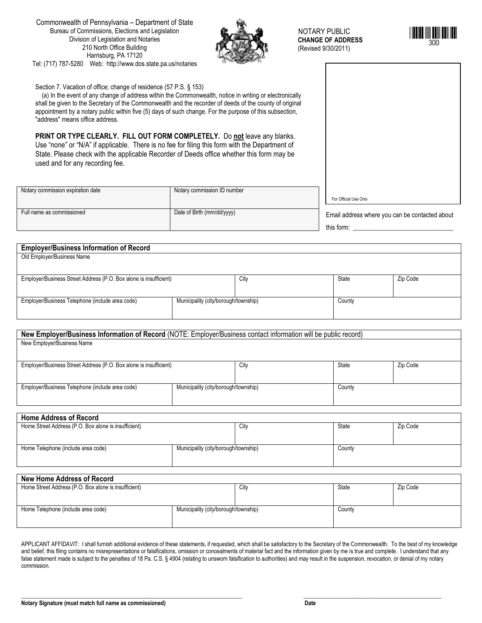Commonwealth of Pennsylvania – Department of State Bureau of Commissions, Elections and Legislation Division of Legislation and Notaries 210 North Office Building Harrisburg, PA 17120 Tel: (717) 787-5280 Web: http://www.dos.state.pa.us/notaries



NOTARY PUBLIC  **CHANGE OF ADDRESS**  (Revised 9/30/2011)



Section 7. Vacation of office; change of residence (57 P.S. § 153) (a) In the event of any change of address within the Commonwealth, notice in writing or electronically shall be given to the Secretary of the Commonwealth and the recorder of deeds of the county of original appointment by a notary public within five (5) days of such change. For the purpose of this subsection, "address" means office address.

**PRINT OR TYPE CLEARLY. FILL OUT FORM COMPLETELY.** Do **not** leave any blanks. Use "none" or "N/A" if applicable. There is no fee for filing this form with the Department of State. Please check with the applicable Recorder of Deeds office whether this form may be used and for any recording fee.

| Notary commission expiration date | Notary commission ID number |                                                |
|-----------------------------------|-----------------------------|------------------------------------------------|
|                                   |                             | For Official Use Only                          |
| Full name as commissioned         | Date of Birth (mm/dd/yyyy)  | Email address where you can be contacted about |
|                                   |                             | this form:                                     |

| <b>Employer/Business Information of Record</b>                    |                                      |      |        |          |
|-------------------------------------------------------------------|--------------------------------------|------|--------|----------|
| Old Employer/Business Name                                        |                                      |      |        |          |
|                                                                   |                                      |      |        |          |
| Employer/Business Street Address (P.O. Box alone is insufficient) |                                      | City | State  | Zip Code |
|                                                                   |                                      |      |        |          |
| Employer/Business Telephone (include area code)                   | Municipality (city/borough/township) |      | County |          |
|                                                                   |                                      |      |        |          |

| New Employer/Business Information of Record (NOTE: Employer/Business contact information will be public record) |                                      |      |        |          |
|-----------------------------------------------------------------------------------------------------------------|--------------------------------------|------|--------|----------|
| New Employer/Business Name                                                                                      |                                      |      |        |          |
|                                                                                                                 |                                      |      |        |          |
|                                                                                                                 |                                      |      |        |          |
| Employer/Business Street Address (P.O. Box alone is insufficient)                                               |                                      | City | State  | Zip Code |
|                                                                                                                 |                                      |      |        |          |
|                                                                                                                 |                                      |      |        |          |
| Employer/Business Telephone (include area code)                                                                 | Municipality (city/borough/township) |      | County |          |
|                                                                                                                 |                                      |      |        |          |
|                                                                                                                 |                                      |      |        |          |

## **Home Address of Record**

| Home Street Address (P.O. Box alone is insufficient) |                                      | City | State  | Zip Code |
|------------------------------------------------------|--------------------------------------|------|--------|----------|
| Home Telephone (include area code)                   | Municipality (city/borough/township) |      | County |          |

## **New Home Address of Record**

| Home Street Address (P.O. Box alone is insufficient) |                                      | City | State  | Zip Code |
|------------------------------------------------------|--------------------------------------|------|--------|----------|
| Home Telephone (include area code)                   | Municipality (city/borough/township) |      | County |          |
|                                                      |                                      |      |        |          |

APPLICANT AFFIDAVIT: I shall furnish additional evidence of these statements, if requested, which shall be satisfactory to the Secretary of the Commonwealth. To the best of my knowledge and belief, this filing contains no misrepresentations or falsifications, omission or concealments of material fact and the information given by me is true and complete. I understand that any false statement made is subject to the penalties of 18 Pa. C.S. § 4904 (relating to unswom falsification to authorities) and may result in the suspension, revocation, or denial of my notary commission.

\_\_\_\_\_\_\_\_\_\_\_\_\_\_\_\_\_\_\_\_\_\_\_\_\_\_\_\_\_\_\_\_\_\_\_\_\_\_\_\_\_\_\_\_\_\_\_\_\_\_\_\_\_\_\_\_\_\_\_\_\_\_\_\_\_\_\_\_\_\_\_\_\_\_\_\_\_ \_\_\_\_\_\_\_\_\_\_\_\_\_\_\_\_\_\_\_\_\_\_\_\_\_\_\_\_\_\_\_\_\_\_\_\_\_\_\_\_\_\_\_\_\_\_\_\_